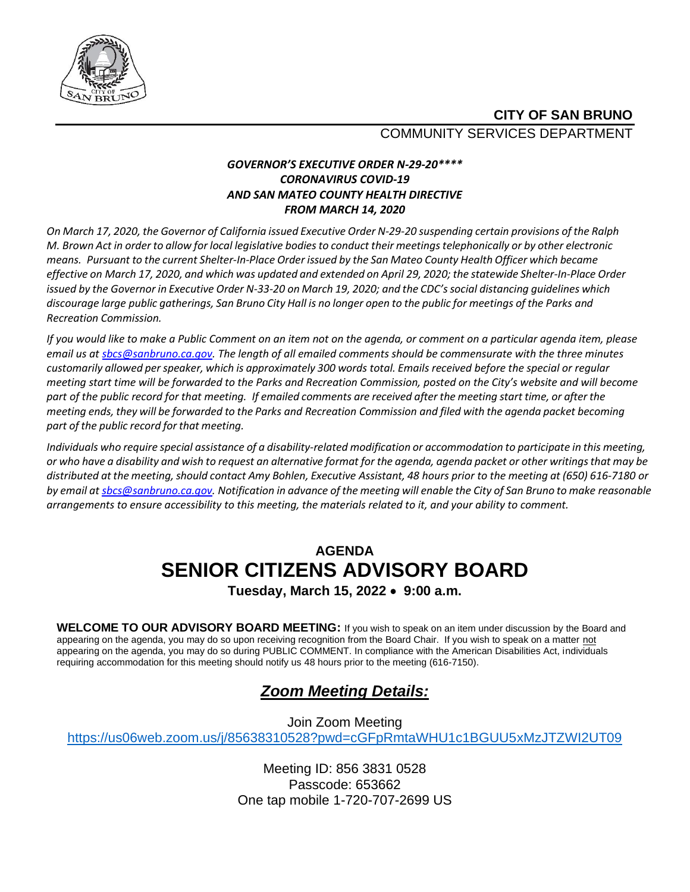

### **CITY OF SAN BRUNO** COMMUNITY SERVICES DEPARTMENT

#### *GOVERNOR'S EXECUTIVE ORDER N-29-20\*\*\*\* CORONAVIRUS COVID-19 AND SAN MATEO COUNTY HEALTH DIRECTIVE FROM MARCH 14, 2020*

On March 17, 2020, the Governor of California issued Executive Order N-29-20 suspending certain provisions of the Ralph M. Brown Act in order to allow for local legislative bodies to conduct their meetings telephonically or by other electronic *means. Pursuant to the current Shelter-In-Place Order issued by the San Mateo County Health Officer which became* effective on March 17, 2020, and which was updated and extended on April 29, 2020; the statewide Shelter-In-Place Order issued by the Governor in Executive Order N-33-20 on March 19, 2020; and the CDC's social distancing guidelines which discourage large public gatherings, San Bruno City Hall is no longer open to the public for meetings of the Parks and *Recreation Commission.*

*If you would like to make a Public Comment on an item not on the agenda, or comment on a particular agenda item, please email us a[t sbcs@sanbruno.ca.gov.](mailto:sbcs@sanbruno.ca.gov) The length of all emailed comments should be commensurate with the three minutes customarily allowed perspeaker, which is approximately 300 words total. Emails received before the special or regular meeting start time will be forwarded to the Parks and Recreation Commission, posted on the City's website and will become part of the public record for that meeting. If emailed comments are received after the meeting start time, or after the meeting ends, they will be forwarded to the Parks and Recreation Commission and filed with the agenda packet becoming part of the public record for that meeting.* 

Individuals who require special assistance of a disability-related modification or accommodation to participate in this meeting, or who have a disability and wish to request an alternative format for the agenda, agenda packet or other writings that may be *distributed at the meeting,should contact Amy Bohlen, Executive Assistant, 48 hours prior to the meeting at (650) 616-7180 or* by email a[t sbcs@sanbruno.ca.gov.](mailto:sbcs@sanbruno.ca.gov) Notification in advance of the meeting will enable the City of San Bruno to make reasonable *arrangements to ensure accessibility to this meeting, the materials related to it, and your ability to comment.* 

## **AGENDA SENIOR CITIZENS ADVISORY BOARD**

**Tuesday, March 15, 2022** • **9:00 a.m.** 

**WELCOME TO OUR ADVISORY BOARD MEETING:** If you wish to speak on an item under discussion by the Board and appearing on the agenda, you may do so upon receiving recognition from the Board Chair. If you wish to speak on a matter not appearing on the agenda, you may do so during PUBLIC COMMENT. In compliance with the American Disabilities Act, individuals requiring accommodation for this meeting should notify us 48 hours prior to the meeting (616-7150).

## *Zoom Meeting Details:*

Join Zoom Meeting <https://us06web.zoom.us/j/85638310528?pwd=cGFpRmtaWHU1c1BGUU5xMzJTZWI2UT09>

> Meeting ID: 856 3831 0528 Passcode: 653662 One tap mobile 1-720-707-2699 US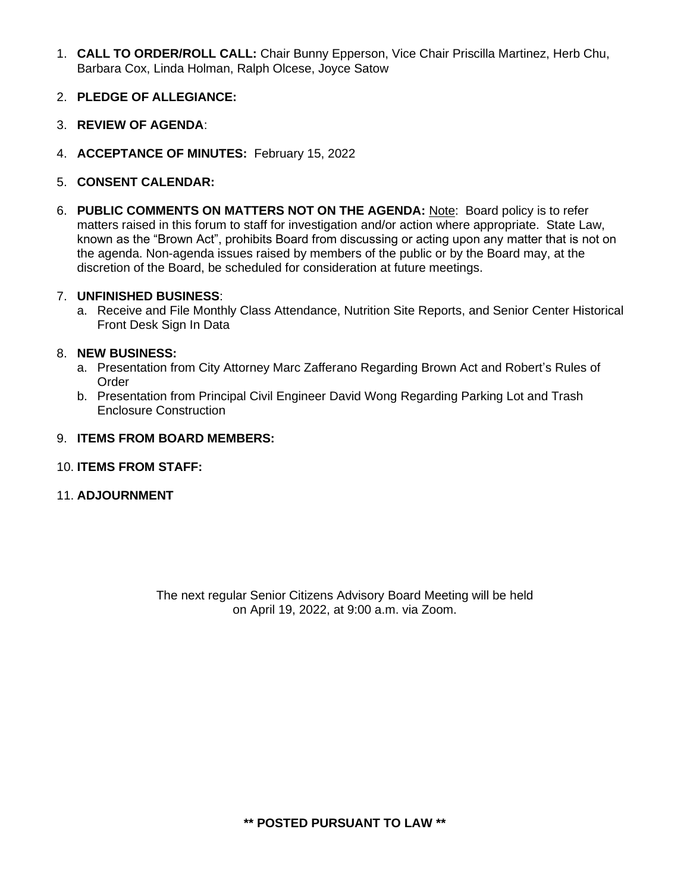- 1. **CALL TO ORDER/ROLL CALL:** Chair Bunny Epperson, Vice Chair Priscilla Martinez, Herb Chu, Barbara Cox, Linda Holman, Ralph Olcese, Joyce Satow
- 2. **PLEDGE OF ALLEGIANCE:**
- 3. **REVIEW OF AGENDA**:
- 4. **ACCEPTANCE OF MINUTES:** February 15, 2022
- 5. **CONSENT CALENDAR:**
- 6. **PUBLIC COMMENTS ON MATTERS NOT ON THE AGENDA:** Note: Board policy is to refer matters raised in this forum to staff for investigation and/or action where appropriate. State Law, known as the "Brown Act", prohibits Board from discussing or acting upon any matter that is not on the agenda. Non-agenda issues raised by members of the public or by the Board may, at the discretion of the Board, be scheduled for consideration at future meetings.

#### 7. **UNFINISHED BUSINESS**:

a. Receive and File Monthly Class Attendance, Nutrition Site Reports, and Senior Center Historical Front Desk Sign In Data

#### 8. **NEW BUSINESS:**

- a. Presentation from City Attorney Marc Zafferano Regarding Brown Act and Robert's Rules of Order
- b. Presentation from Principal Civil Engineer David Wong Regarding Parking Lot and Trash Enclosure Construction
- 9. **ITEMS FROM BOARD MEMBERS:**
- 10. **ITEMS FROM STAFF:**
- 11. **ADJOURNMENT**

The next regular Senior Citizens Advisory Board Meeting will be held on April 19, 2022, at 9:00 a.m. via Zoom.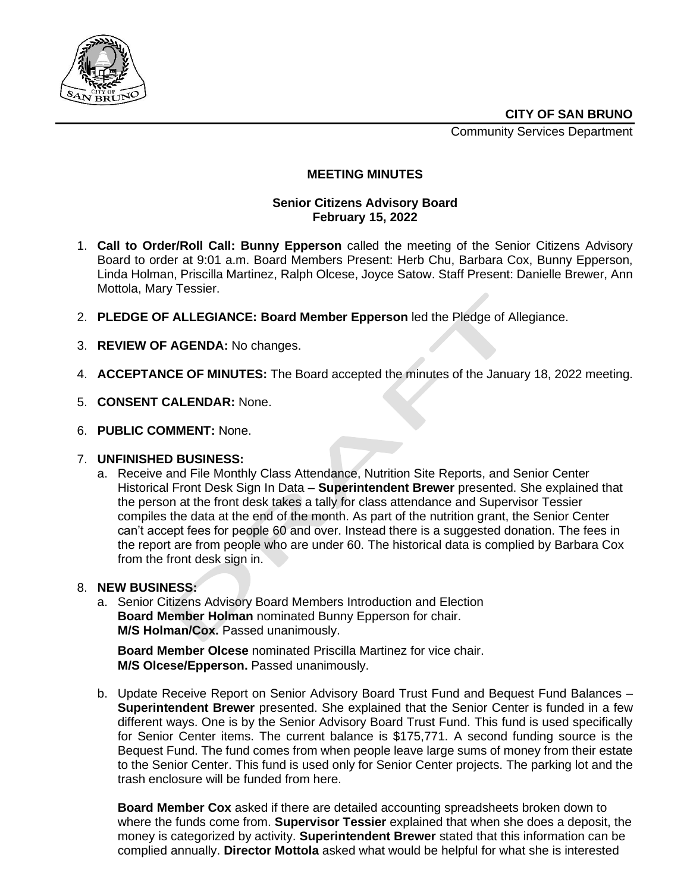Community Services Department



#### **MEETING MINUTES**

#### **Senior Citizens Advisory Board February 15, 2022**

- 1. **Call to Order/Roll Call: Bunny Epperson** called the meeting of the Senior Citizens Advisory Board to order at 9:01 a.m. Board Members Present: Herb Chu, Barbara Cox, Bunny Epperson, Linda Holman, Priscilla Martinez, Ralph Olcese, Joyce Satow. Staff Present: Danielle Brewer, Ann Mottola, Mary Tessier.
- 2. **PLEDGE OF ALLEGIANCE: Board Member Epperson** led the Pledge of Allegiance.
- 3. **REVIEW OF AGENDA:** No changes.
- 4. **ACCEPTANCE OF MINUTES:** The Board accepted the minutes of the January 18, 2022 meeting.
- 5. **CONSENT CALENDAR:** None.
- 6. **PUBLIC COMMENT:** None.

#### 7. **UNFINISHED BUSINESS:**

a. Receive and File Monthly Class Attendance, Nutrition Site Reports, and Senior Center Historical Front Desk Sign In Data – **Superintendent Brewer** presented. She explained that the person at the front desk takes a tally for class attendance and Supervisor Tessier compiles the data at the end of the month. As part of the nutrition grant, the Senior Center can't accept fees for people 60 and over. Instead there is a suggested donation. The fees in the report are from people who are under 60. The historical data is complied by Barbara Cox from the front desk sign in.

#### 8. **NEW BUSINESS:**

a. Senior Citizens Advisory Board Members Introduction and Election **Board Member Holman** nominated Bunny Epperson for chair. **M/S Holman/Cox.** Passed unanimously.

**Board Member Olcese** nominated Priscilla Martinez for vice chair. **M/S Olcese/Epperson.** Passed unanimously.

b. Update Receive Report on Senior Advisory Board Trust Fund and Bequest Fund Balances – **Superintendent Brewer** presented. She explained that the Senior Center is funded in a few different ways. One is by the Senior Advisory Board Trust Fund. This fund is used specifically for Senior Center items. The current balance is \$175,771. A second funding source is the Bequest Fund. The fund comes from when people leave large sums of money from their estate to the Senior Center. This fund is used only for Senior Center projects. The parking lot and the trash enclosure will be funded from here.

**Board Member Cox** asked if there are detailed accounting spreadsheets broken down to where the funds come from. **Supervisor Tessier** explained that when she does a deposit, the money is categorized by activity. **Superintendent Brewer** stated that this information can be complied annually. **Director Mottola** asked what would be helpful for what she is interested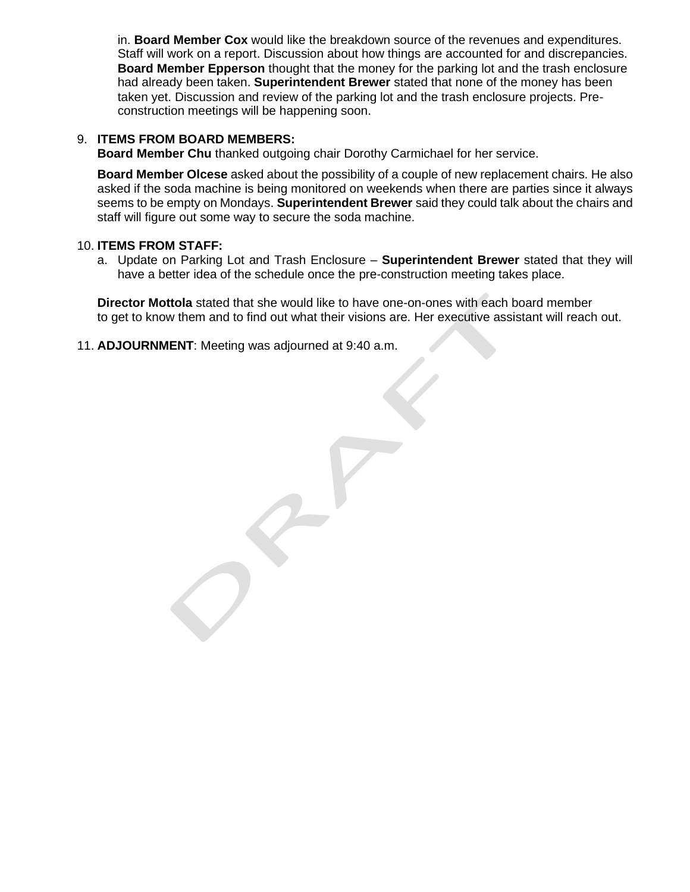in. **Board Member Cox** would like the breakdown source of the revenues and expenditures. Staff will work on a report. Discussion about how things are accounted for and discrepancies. **Board Member Epperson** thought that the money for the parking lot and the trash enclosure had already been taken. **Superintendent Brewer** stated that none of the money has been taken yet. Discussion and review of the parking lot and the trash enclosure projects. Preconstruction meetings will be happening soon.

#### 9. **ITEMS FROM BOARD MEMBERS:**

**Board Member Chu** thanked outgoing chair Dorothy Carmichael for her service.

**Board Member Olcese** asked about the possibility of a couple of new replacement chairs. He also asked if the soda machine is being monitored on weekends when there are parties since it always seems to be empty on Mondays. **Superintendent Brewer** said they could talk about the chairs and staff will figure out some way to secure the soda machine.

#### 10. **ITEMS FROM STAFF:**

a. Update on Parking Lot and Trash Enclosure – **Superintendent Brewer** stated that they will have a better idea of the schedule once the pre-construction meeting takes place.

**Director Mottola** stated that she would like to have one-on-ones with each board member to get to know them and to find out what their visions are. Her executive assistant will reach out.

11. **ADJOURNMENT**: Meeting was adjourned at 9:40 a.m.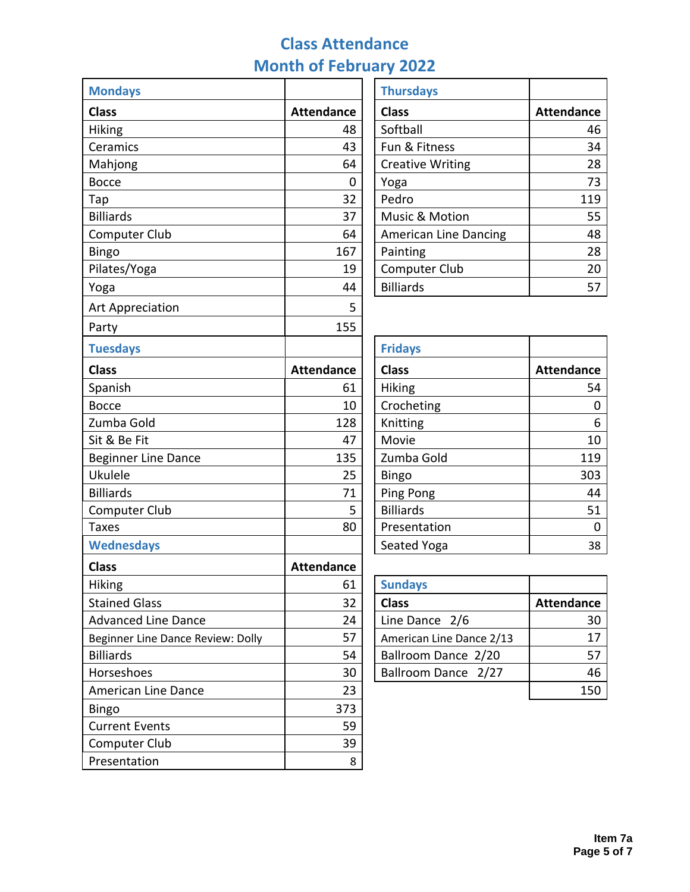# **Class Attendance Month of February 2022**

| <b>Mondays</b>                    |                   | <b>Thursdays</b>             |                   |  |  |
|-----------------------------------|-------------------|------------------------------|-------------------|--|--|
| <b>Class</b>                      | <b>Attendance</b> | <b>Class</b>                 | <b>Attendance</b> |  |  |
| Hiking                            | 48                | Softball                     | 46                |  |  |
| Ceramics                          | 43                | Fun & Fitness                | 34                |  |  |
| Mahjong                           | 64                | <b>Creative Writing</b>      | 28                |  |  |
| <b>Bocce</b>                      | 0                 | Yoga                         | 73                |  |  |
| Tap                               | 32                | Pedro                        | 119               |  |  |
| <b>Billiards</b>                  | 37                | Music & Motion               | 55                |  |  |
| <b>Computer Club</b>              | 64                | <b>American Line Dancing</b> | 48                |  |  |
| <b>Bingo</b>                      | 167               | Painting                     | 28                |  |  |
| Pilates/Yoga                      | 19                | Computer Club                | 20                |  |  |
| Yoga                              | 44                | <b>Billiards</b>             | 57                |  |  |
| <b>Art Appreciation</b>           | 5                 |                              |                   |  |  |
| Party                             | 155               |                              |                   |  |  |
| <b>Tuesdays</b>                   |                   | <b>Fridays</b>               |                   |  |  |
| <b>Class</b>                      | <b>Attendance</b> | <b>Class</b>                 | <b>Attendance</b> |  |  |
| Spanish                           | 61                | <b>Hiking</b>                | 54                |  |  |
| <b>Bocce</b>                      | 10                | Crocheting                   | $\mathbf 0$       |  |  |
| Zumba Gold                        | 128               | Knitting                     | 6                 |  |  |
| Sit & Be Fit                      | 47                | Movie                        | 10                |  |  |
| <b>Beginner Line Dance</b>        | 135               | Zumba Gold                   | 119               |  |  |
| Ukulele                           | 25                | Bingo                        | 303               |  |  |
| <b>Billiards</b>                  | 71                | Ping Pong                    | 44                |  |  |
| Computer Club                     | 5                 | <b>Billiards</b>             | 51                |  |  |
| <b>Taxes</b>                      | 80                | Presentation                 | $\mathbf 0$       |  |  |
| <b>Wednesdays</b>                 |                   | Seated Yoga                  | 38                |  |  |
| <b>Class</b>                      | <b>Attendance</b> |                              |                   |  |  |
| Hiking                            | 61                | <b>Sundays</b>               |                   |  |  |
| <b>Stained Glass</b>              | 32                | <b>Class</b>                 | <b>Attendance</b> |  |  |
| <b>Advanced Line Dance</b>        | 24                | Line Dance 2/6               | 30                |  |  |
| Beginner Line Dance Review: Dolly | 57                | American Line Dance 2/13     | 17                |  |  |
| <b>Billiards</b>                  | 54                | Ballroom Dance 2/20          | 57                |  |  |
| Horseshoes                        | 30                | Ballroom Dance 2/27          | 46                |  |  |
| American Line Dance               | 23                |                              | 150               |  |  |
| Bingo                             | 373               |                              |                   |  |  |
| <b>Current Events</b>             | 59                |                              |                   |  |  |
| Computer Club                     | 39                |                              |                   |  |  |
| Presentation                      | 8                 |                              |                   |  |  |
|                                   |                   |                              |                   |  |  |

| <b>Thursdays</b>             |                   |
|------------------------------|-------------------|
| <b>Class</b>                 | <b>Attendance</b> |
| Softball                     | 46                |
| Fun & Fitness                | 34                |
| <b>Creative Writing</b>      | 28                |
| Yoga                         | 73                |
| Pedro                        | 119               |
| Music & Motion               | 55                |
| <b>American Line Dancing</b> | 48                |
| Painting                     | 28                |
| Computer Club                | 20                |
| <b>Billiards</b>             | 51                |

| <b>Fridays</b>   |                   |
|------------------|-------------------|
| <b>Class</b>     | <b>Attendance</b> |
| Hiking           | 54                |
| Crocheting       |                   |
| Knitting         | 6                 |
| Movie            | 10                |
| Zumba Gold       | 119               |
| Bingo            | 303               |
| Ping Pong        | 44                |
| <b>Billiards</b> | 51                |
| Presentation     |                   |
| Seated Yoga      | 38                |

| <b>Sundays</b>           |                   |
|--------------------------|-------------------|
| <b>Class</b>             | <b>Attendance</b> |
| Line Dance 2/6           | 30                |
| American Line Dance 2/13 | 17                |
| Ballroom Dance 2/20      | 57                |
| Ballroom Dance 2/27      | 16                |
|                          |                   |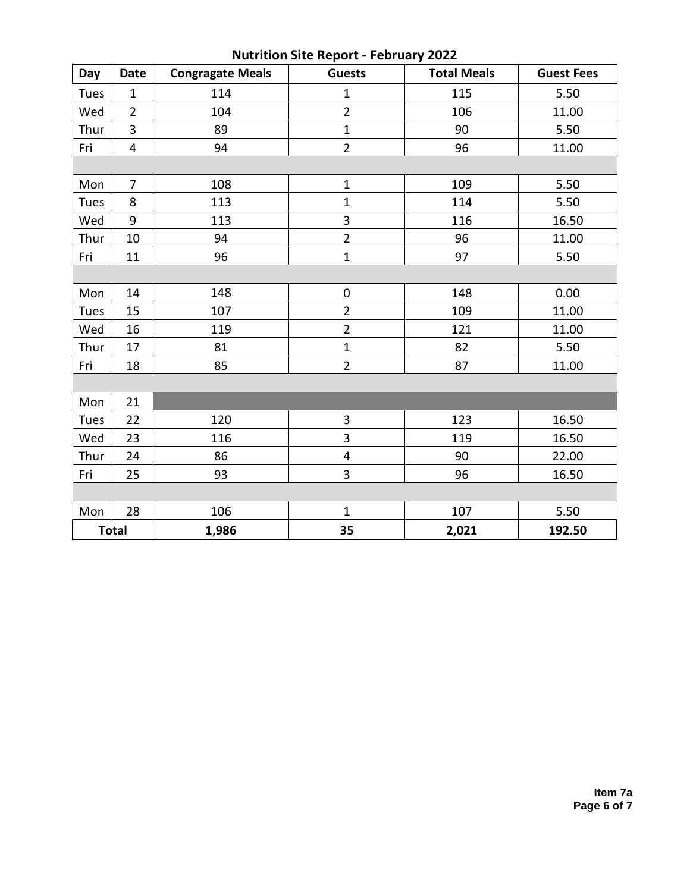| <b>Nutrition Site Report - February 2022</b> |                         |                                          |                         |                    |                   |  |  |  |
|----------------------------------------------|-------------------------|------------------------------------------|-------------------------|--------------------|-------------------|--|--|--|
| Day                                          | <b>Date</b>             | <b>Guests</b><br><b>Congragate Meals</b> |                         | <b>Total Meals</b> | <b>Guest Fees</b> |  |  |  |
| Tues                                         | $\mathbf{1}$            | 114                                      | $\mathbf{1}$<br>115     |                    | 5.50              |  |  |  |
| Wed                                          | $\overline{2}$          | 104                                      | $\overline{2}$          | 106                | 11.00             |  |  |  |
| Thur                                         | $\overline{3}$          | 89                                       | $\mathbf{1}$            | 90                 | 5.50              |  |  |  |
| Fri                                          | $\overline{\mathbf{4}}$ | 94                                       | $\overline{2}$          | 96                 | 11.00             |  |  |  |
|                                              |                         |                                          |                         |                    |                   |  |  |  |
| Mon                                          | $\overline{7}$          | 108                                      | $\mathbf{1}$            | 109                | 5.50              |  |  |  |
| Tues                                         | 8                       | 113                                      | $\mathbf{1}$            | 114                | 5.50              |  |  |  |
| Wed                                          | 9                       | 113                                      | 3<br>116                |                    | 16.50             |  |  |  |
| Thur                                         | 10                      | 94                                       | $\overline{2}$          | 96                 | 11.00             |  |  |  |
| Fri                                          | 11                      | 96                                       | $\mathbf 1$             | 97                 | 5.50              |  |  |  |
|                                              |                         |                                          |                         |                    |                   |  |  |  |
| Mon                                          | 14                      | 148                                      | $\pmb{0}$               | 148                | 0.00              |  |  |  |
| Tues                                         | 15                      | 107                                      | $\overline{2}$          | 109                | 11.00             |  |  |  |
| Wed                                          | 16                      | 119                                      | $\overline{2}$          | 121                | 11.00             |  |  |  |
| Thur                                         | 17                      | 81                                       | $\mathbf{1}$            | 82                 | 5.50              |  |  |  |
| Fri                                          | 18                      | $\overline{2}$<br>85                     |                         | 87<br>11.00        |                   |  |  |  |
|                                              |                         |                                          |                         |                    |                   |  |  |  |
| Mon                                          | 21                      |                                          |                         |                    |                   |  |  |  |
| Tues                                         | 22                      | 120                                      | 3                       | 123                | 16.50             |  |  |  |
| Wed                                          | 23                      | 116                                      | 3                       | 119                | 16.50             |  |  |  |
| Thur                                         | 24                      | 86                                       | $\overline{\mathbf{4}}$ | 90                 | 22.00             |  |  |  |
| Fri                                          | 25                      | 93                                       | 3                       | 96                 | 16.50             |  |  |  |
|                                              |                         |                                          |                         |                    |                   |  |  |  |
| Mon                                          | 28                      | 106                                      | $\mathbf{1}$            | 107                | 5.50              |  |  |  |
|                                              | <b>Total</b>            | 1,986                                    | 35                      | 2,021              | 192.50            |  |  |  |